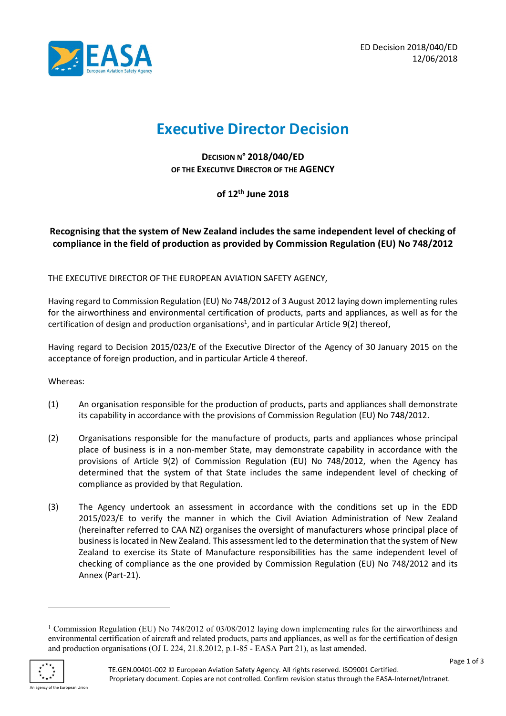

# Executive Director Decision

DECISION N° 2018/040/ED OF THE EXECUTIVE DIRECTOR OF THE AGENCY

of 12th June 2018

# Recognising that the system of New Zealand includes the same independent level of checking of compliance in the field of production as provided by Commission Regulation (EU) No 748/2012

THE EXECUTIVE DIRECTOR OF THE EUROPEAN AVIATION SAFETY AGENCY,

Having regard to Commission Regulation (EU) No 748/2012 of 3 August 2012 laying down implementing rules for the airworthiness and environmental certification of products, parts and appliances, as well as for the certification of design and production organisations<sup>1</sup>, and in particular Article 9(2) thereof,

Having regard to Decision 2015/023/E of the Executive Director of the Agency of 30 January 2015 on the acceptance of foreign production, and in particular Article 4 thereof.

Whereas:

- (1) An organisation responsible for the production of products, parts and appliances shall demonstrate its capability in accordance with the provisions of Commission Regulation (EU) No 748/2012.
- (2) Organisations responsible for the manufacture of products, parts and appliances whose principal place of business is in a non-member State, may demonstrate capability in accordance with the provisions of Article 9(2) of Commission Regulation (EU) No 748/2012, when the Agency has determined that the system of that State includes the same independent level of checking of compliance as provided by that Regulation.
- (3) The Agency undertook an assessment in accordance with the conditions set up in the EDD 2015/023/E to verify the manner in which the Civil Aviation Administration of New Zealand (hereinafter referred to CAA NZ) organises the oversight of manufacturers whose principal place of business is located in New Zealand. This assessment led to the determination that the system of New Zealand to exercise its State of Manufacture responsibilities has the same independent level of checking of compliance as the one provided by Commission Regulation (EU) No 748/2012 and its Annex (Part-21).

<sup>&</sup>lt;sup>1</sup> Commission Regulation (EU) No 748/2012 of 03/08/2012 laying down implementing rules for the airworthiness and environmental certification of aircraft and related products, parts and appliances, as well as for the certification of design and production organisations (OJ L 224, 21.8.2012, p.1-85 - EASA Part 21), as last amended.



-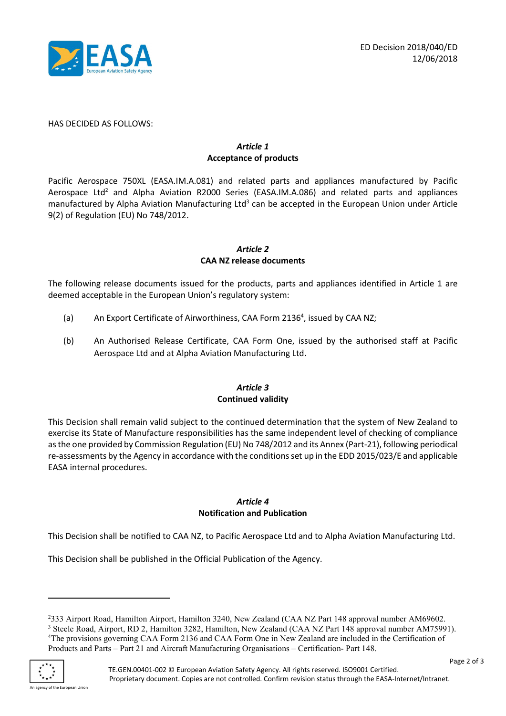

HAS DECIDED AS FOLLOWS:

#### Article 1 Acceptance of products

Pacific Aerospace 750XL (EASA.IM.A.081) and related parts and appliances manufactured by Pacific Aerospace Ltd<sup>2</sup> and Alpha Aviation R2000 Series (EASA.IM.A.086) and related parts and appliances manufactured by Alpha Aviation Manufacturing Ltd<sup>3</sup> can be accepted in the European Union under Article 9(2) of Regulation (EU) No 748/2012.

#### Article 2 CAA NZ release documents

The following release documents issued for the products, parts and appliances identified in Article 1 are deemed acceptable in the European Union's regulatory system:

- (a) An Export Certificate of Airworthiness, CAA Form 2136<sup>4</sup>, issued by CAA NZ;
- (b) An Authorised Release Certificate, CAA Form One, issued by the authorised staff at Pacific Aerospace Ltd and at Alpha Aviation Manufacturing Ltd.

## Article 3 Continued validity

This Decision shall remain valid subject to the continued determination that the system of New Zealand to exercise its State of Manufacture responsibilities has the same independent level of checking of compliance as the one provided by Commission Regulation (EU) No 748/2012 and its Annex (Part-21), following periodical re-assessments by the Agency in accordance with the conditions set up in the EDD 2015/023/E and applicable EASA internal procedures.

## Article 4 Notification and Publication

This Decision shall be notified to CAA NZ, to Pacific Aerospace Ltd and to Alpha Aviation Manufacturing Ltd.

This Decision shall be published in the Official Publication of the Agency.

<sup>2</sup>333 Airport Road, Hamilton Airport, Hamilton 3240, New Zealand (CAA NZ Part 148 approval number AM69602. <sup>3</sup> Steele Road, Airport, RD 2, Hamilton 3282, Hamilton, New Zealand (CAA NZ Part 148 approval number AM75991). <sup>4</sup>The provisions governing CAA Form 2136 and CAA Form One in New Zealand are included in the Certification of Products and Parts – Part 21 and Aircraft Manufacturing Organisations – Certification- Part 148.



-

ncy of the European Union